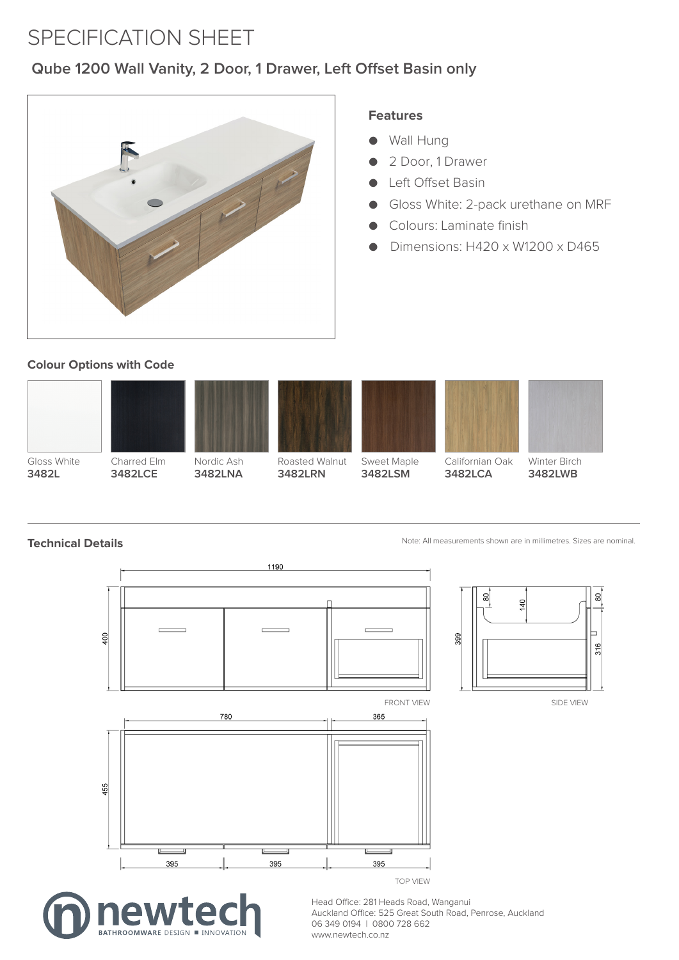## SPECIFICATION SHEET

# Qube 1200 Wall Vanity, 2 Door, 1 Drawer, Left Offset Basin only



#### **Features**

- Wall Hung **Features**
- 2 Door, 1 Drawer
- Left Offset Basin
- Gloss White: 2-pack urethane on MRF
- Colours: Laminate finish
- Dimensions: H420 x W1200 x D465

#### **Colour Options with Code**



**3482L** Gloss White



Nordic Ash **3482LNA** Raft Wood

Charred Elm **3482LCE** Ridge Oak



Roasted Walnut **3482LRN** Cinder



**3482LSM** Hickory Oak



Californian Oak 3482LCA

Note: All measurements shown are in millimetres. Sizes are nominal. Note: All measurements shown are in millimetres. Sizes are nominal.

Winter Birch **3482LWB**

**Technical Details Technical Details**







Head Office: 281 Heads Road, Wanganui Auckland Office: 525 Great South Road, Penrose, Auckland 06 349 0194 | 0800 728 662 www.newtech.co.nz